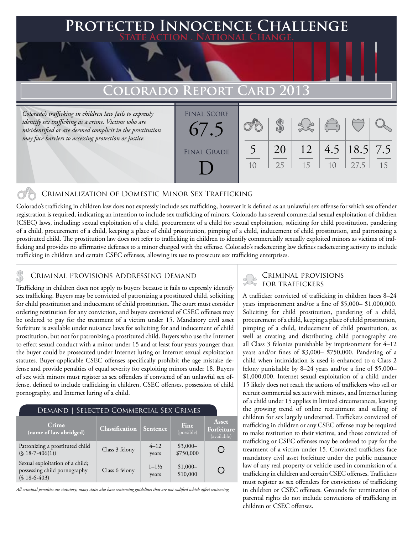# **Protected Innocence Challenge State Action . National Change.**

### **Colorado Report Card 2013**

*Colorado's trafficking in children law fails to expressly identify sex trafficking as a crime. Victims who are misidentified or are deemed complicit in the prostitution may face barriers to accessing protection or justice.*

| <b>FINAL SCORE</b><br>67.5 |                |          |          | $\overline{C}$ |                          |    |
|----------------------------|----------------|----------|----------|----------------|--------------------------|----|
| <b>FINAL GRADE</b>         | 1 <sub>0</sub> | 20<br>25 | 12<br>15 | 1 <sub>0</sub> | 4.5   18.5   7.5<br>27.5 | 15 |

### Criminalization of Domestic Minor Sex Trafficking

Colorado's trafficking in children law does not expressly include sex trafficking, however it is defined as an unlawful sex offense for which sex offender registration is required, indicating an intention to include sex trafficking of minors. Colorado has several commercial sexual exploitation of children (CSEC) laws, including: sexual exploitation of a child, procurement of a child for sexual exploitation, soliciting for child prostitution, pandering of a child, procurement of a child, keeping a place of child prostitution, pimping of a child, inducement of child prostitution, and patronizing a prostituted child. The prostitution law does not refer to trafficking in children to identify commercially sexually exploited minors as victims of trafficking and provides no affirmative defenses to a minor charged with the offense. Colorado's racketeering law defines racketeering activity to include trafficking in children and certain CSEC offenses, allowing its use to prosecute sex trafficking enterprises.

### CRIMINAL PROVISIONS ADDRESSING DEMAND

Trafficking in children does not apply to buyers because it fails to expressly identify sex trafficking. Buyers may be convicted of patronizing a prostituted child, soliciting for child prostitution and inducement of child prostitution. The court must consider ordering restitution for any conviction, and buyers convicted of CSEC offenses may be ordered to pay for the treatment of a victim under 15. Mandatory civil asset forfeiture is available under nuisance laws for soliciting for and inducement of child prostitution, but not for patronizing a prostituted child. Buyers who use the Internet to effect sexual conduct with a minor under 15 and at least four years younger than the buyer could be prosecuted under Internet luring or Internet sexual exploitation statutes. Buyer-applicable CSEC offenses specifically prohibit the age mistake defense and provide penalties of equal severity for exploiting minors under 18. Buyers of sex with minors must register as sex offenders if convicted of an unlawful sex offense, defined to include trafficking in children, CSEC offenses, possession of child pornography, and Internet luring of a child.

| <b>DEMAND   SELECTED COMMERCIAL SEX CRIMES</b>                                   |                       |                             |                        |                                    |  |  |  |  |
|----------------------------------------------------------------------------------|-----------------------|-----------------------------|------------------------|------------------------------------|--|--|--|--|
| Crime<br>(name of law abridged)                                                  | <b>Classification</b> | Sentence                    | Fine<br>(possible)     | Asset<br>Forfeiture<br>(available) |  |  |  |  |
| Patronizing a prostituted child<br>$(S 18 - 7 - 406(1))$                         | Class 3 felony        | $4 - 12$<br>years           | $$3,000-$<br>\$750,000 |                                    |  |  |  |  |
| Sexual exploitation of a child;<br>possessing child pornography<br>$(S18-6-403)$ | Class 6 felony        | $1 - 1\frac{1}{2}$<br>years | $$1,000-$<br>\$10,000  |                                    |  |  |  |  |

*All criminal penalties are statutory; many states also have sentencing guidelines that are not codified which affect sentencing.* 

## Criminal provisions

A trafficker convicted of trafficking in children faces 8–24 years imprisonment and/or a fine of \$5,000– \$1,000,000. Soliciting for child prostitution, pandering of a child, procurement of a child, keeping a place of child prostitution, pimping of a child, inducement of child prostitution, as well as creating and distributing child pornography are all Class 3 felonies punishable by imprisonment for 4–12 years and/or fines of \$3,000– \$750,000. Pandering of a child when intimidation is used is enhanced to a Class 2 felony punishable by 8–24 years and/or a fine of \$5,000– \$1,000,000. Internet sexual exploitation of a child under 15 likely does not reach the actions of traffickers who sell or recruit commercial sex acts with minors, and Internet luring of a child under 15 applies in limited circumstances, leaving the growing trend of online recruitment and selling of children for sex largely undeterred. Traffickers convicted of trafficking in children or any CSEC offense may be required to make restitution to their victims, and those convicted of trafficking or CSEC offenses may be ordered to pay for the treatment of a victim under 15. Convicted traffickers face mandatory civil asset forfeiture under the public nuisance law of any real property or vehicle used in commission of a trafficking in children and certain CSEC offenses. Traffickers must register as sex offenders for convictions of trafficking in children or CSEC offenses. Grounds for termination of parental rights do not include convictions of trafficking in children or CSEC offenses.